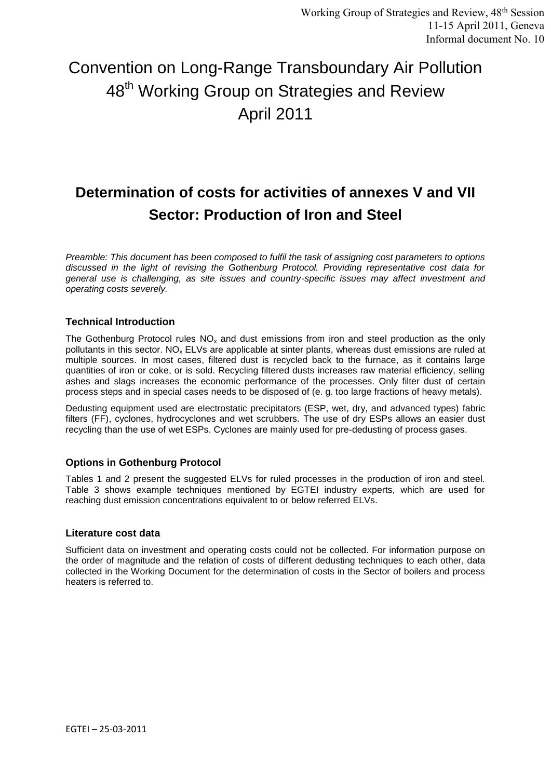# Convention on Long-Range Transboundary Air Pollution 48<sup>th</sup> Working Group on Strategies and Review April 2011

## **Determination of costs for activities of annexes V and VII Sector: Production of Iron and Steel**

*Preamble: This document has been composed to fulfil the task of assigning cost parameters to options discussed in the light of revising the Gothenburg Protocol. Providing representative cost data for general use is challenging, as site issues and country-specific issues may affect investment and operating costs severely.*

#### **Technical Introduction**

The Gothenburg Protocol rules  $NO<sub>x</sub>$  and dust emissions from iron and steel production as the only pollutants in this sector. NO<sub>x</sub> ELVs are applicable at sinter plants, whereas dust emissions are ruled at multiple sources. In most cases, filtered dust is recycled back to the furnace, as it contains large quantities of iron or coke, or is sold. Recycling filtered dusts increases raw material efficiency, selling ashes and slags increases the economic performance of the processes. Only filter dust of certain process steps and in special cases needs to be disposed of (e. g. too large fractions of heavy metals).

Dedusting equipment used are electrostatic precipitators (ESP, wet, dry, and advanced types) fabric filters (FF), cyclones, hydrocyclones and wet scrubbers. The use of dry ESPs allows an easier dust recycling than the use of wet ESPs. Cyclones are mainly used for pre-dedusting of process gases.

#### **Options in Gothenburg Protocol**

Tables 1 and 2 present the suggested ELVs for ruled processes in the production of iron and steel. Table 3 shows example techniques mentioned by EGTEI industry experts, which are used for reaching dust emission concentrations equivalent to or below referred ELVs.

#### **Literature cost data**

Sufficient data on investment and operating costs could not be collected. For information purpose on the order of magnitude and the relation of costs of different dedusting techniques to each other, data collected in the Working Document for the determination of costs in the Sector of boilers and process heaters is referred to.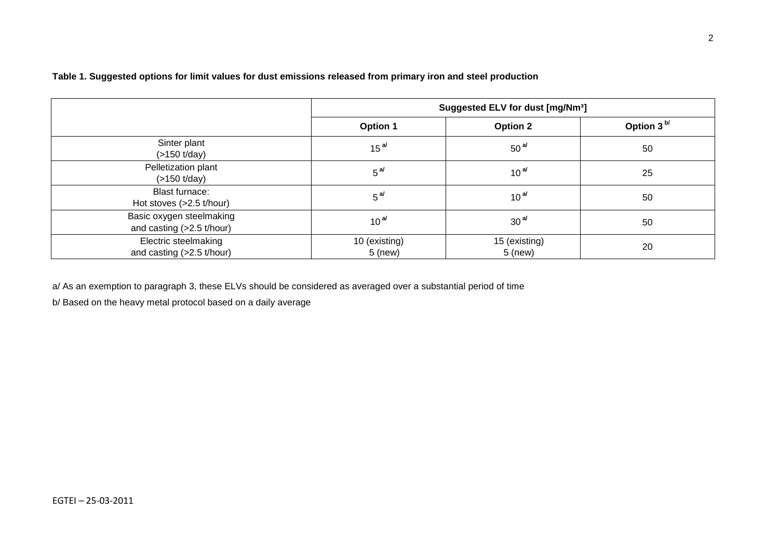|                                                       | Suggested ELV for dust [mg/Nm <sup>3</sup> ] |                            |                        |
|-------------------------------------------------------|----------------------------------------------|----------------------------|------------------------|
|                                                       | Option 1                                     | <b>Option 2</b>            | Option 3 <sup>b/</sup> |
| Sinter plant<br>$($ >150 t/day)                       | 15 <sup>al</sup>                             | 50 <sup>al</sup>           | 50                     |
| Pelletization plant<br>$($ >150 t/day)                | 5 <sup>al</sup>                              | 10 <sup>al</sup>           | 25                     |
| <b>Blast furnace:</b><br>Hot stoves (>2.5 t/hour)     | $5^{al}$                                     | 10 <sup>al</sup>           | 50                     |
| Basic oxygen steelmaking<br>and casting (>2.5 t/hour) | 10 <sup>al</sup>                             | 30 <sup>al</sup>           | 50                     |
| Electric steelmaking<br>and casting $(>2.5$ t/hour)   | 10 (existing)<br>$5$ (new)                   | 15 (existing)<br>$5$ (new) | 20                     |

**Table 1. Suggested options for limit values for dust emissions released from primary iron and steel production**

a/ As an exemption to paragraph 3, these ELVs should be considered as averaged over a substantial period of time

b/ Based on the heavy metal protocol based on a daily average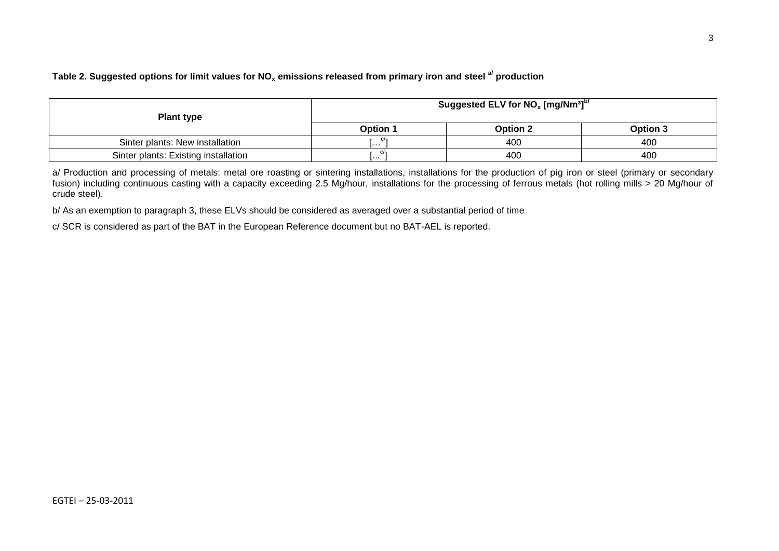### **Table 2. Suggested options for limit values for NO<sup>x</sup> emissions released from primary iron and steel a/ production**

| <b>Plant type</b>                    | Suggested ELV for $NO_x$ [mg/Nm <sup>3]b/</sup> |                 |          |
|--------------------------------------|-------------------------------------------------|-----------------|----------|
|                                      | <b>Option 1</b>                                 | <b>Option 2</b> | Option 3 |
| Sinter plants: New installation      | .                                               | 400             | 400      |
| Sinter plants: Existing installation |                                                 | 400             | 400      |

a/ Production and processing of metals: metal ore roasting or sintering installations, installations for the production of pig iron or steel (primary or secondary fusion) including continuous casting with a capacity exceeding 2.5 Mg/hour, installations for the processing of ferrous metals (hot rolling mills > 20 Mg/hour of crude steel).

b/ As an exemption to paragraph 3, these ELVs should be considered as averaged over a substantial period of time

c/ SCR is considered as part of the BAT in the European Reference document but no BAT-AEL is reported.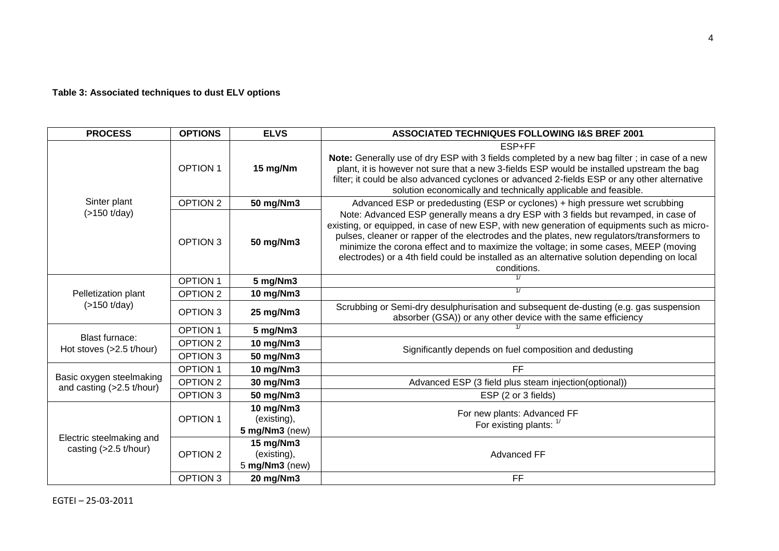#### **Table 3: Associated techniques to dust ELV options**

| <b>PROCESS</b>                                        | <b>OPTIONS</b>              | <b>ELVS</b>                                             | <b>ASSOCIATED TECHNIQUES FOLLOWING I&amp;S BREF 2001</b>                                                                                                                                                                                                                                                                                                                                                                                                                              |  |
|-------------------------------------------------------|-----------------------------|---------------------------------------------------------|---------------------------------------------------------------------------------------------------------------------------------------------------------------------------------------------------------------------------------------------------------------------------------------------------------------------------------------------------------------------------------------------------------------------------------------------------------------------------------------|--|
| Sinter plant<br>$($ >150 t/day)                       | <b>OPTION 1</b>             | 15 mg/Nm                                                | ESP+FF<br>Note: Generally use of dry ESP with 3 fields completed by a new bag filter; in case of a new<br>plant, it is however not sure that a new 3-fields ESP would be installed upstream the bag<br>filter; it could be also advanced cyclones or advanced 2-fields ESP or any other alternative<br>solution economically and technically applicable and feasible.                                                                                                                 |  |
|                                                       | OPTION <sub>2</sub>         | 50 mg/Nm3                                               | Advanced ESP or prededusting (ESP or cyclones) + high pressure wet scrubbing                                                                                                                                                                                                                                                                                                                                                                                                          |  |
|                                                       | OPTION 3                    | 50 mg/Nm3                                               | Note: Advanced ESP generally means a dry ESP with 3 fields but revamped, in case of<br>existing, or equipped, in case of new ESP, with new generation of equipments such as micro-<br>pulses, cleaner or rapper of the electrodes and the plates, new regulators/transformers to<br>minimize the corona effect and to maximize the voltage; in some cases, MEEP (moving<br>electrodes) or a 4th field could be installed as an alternative solution depending on local<br>conditions. |  |
| Pelletization plant<br>$($ >150 t/day)                | <b>OPTION 1</b>             | 5 mg/Nm3                                                |                                                                                                                                                                                                                                                                                                                                                                                                                                                                                       |  |
|                                                       | OPTION <sub>2</sub>         | 10 mg/Nm3                                               | $\frac{1}{2}$                                                                                                                                                                                                                                                                                                                                                                                                                                                                         |  |
|                                                       | <b>OPTION 3</b>             | 25 mg/Nm3                                               | Scrubbing or Semi-dry desulphurisation and subsequent de-dusting (e.g. gas suspension<br>absorber (GSA)) or any other device with the same efficiency                                                                                                                                                                                                                                                                                                                                 |  |
| <b>Blast furnace:</b><br>Hot stoves (>2.5 t/hour)     | <b>OPTION 1</b>             | 5 mg/Nm3                                                | 1/                                                                                                                                                                                                                                                                                                                                                                                                                                                                                    |  |
|                                                       | OPTION <sub>2</sub>         | 10 mg/Nm3                                               | Significantly depends on fuel composition and dedusting                                                                                                                                                                                                                                                                                                                                                                                                                               |  |
|                                                       | OPTION 3<br><b>OPTION 1</b> | 50 mg/Nm3                                               | FF                                                                                                                                                                                                                                                                                                                                                                                                                                                                                    |  |
| Basic oxygen steelmaking<br>and casting (>2.5 t/hour) | OPTION 2                    | 10 mg/Nm3<br>30 mg/Nm3                                  | Advanced ESP (3 field plus steam injection(optional))                                                                                                                                                                                                                                                                                                                                                                                                                                 |  |
|                                                       | OPTION 3                    | 50 mg/Nm3                                               | ESP (2 or 3 fields)                                                                                                                                                                                                                                                                                                                                                                                                                                                                   |  |
| Electric steelmaking and<br>casting (>2.5 t/hour)     | <b>OPTION 1</b>             | 10 mg/Nm3<br>(existing),<br>$5$ mg/Nm $3$ (new)         | For new plants: Advanced FF<br>For existing plants: $1/$                                                                                                                                                                                                                                                                                                                                                                                                                              |  |
|                                                       | OPTION 2<br>OPTION 3        | 15 mg/Nm3<br>(existing),<br>5 mg/Nm3 (new)<br>20 mg/Nm3 | <b>Advanced FF</b><br>FF                                                                                                                                                                                                                                                                                                                                                                                                                                                              |  |
|                                                       |                             |                                                         |                                                                                                                                                                                                                                                                                                                                                                                                                                                                                       |  |

EGTEI – 25-03-2011